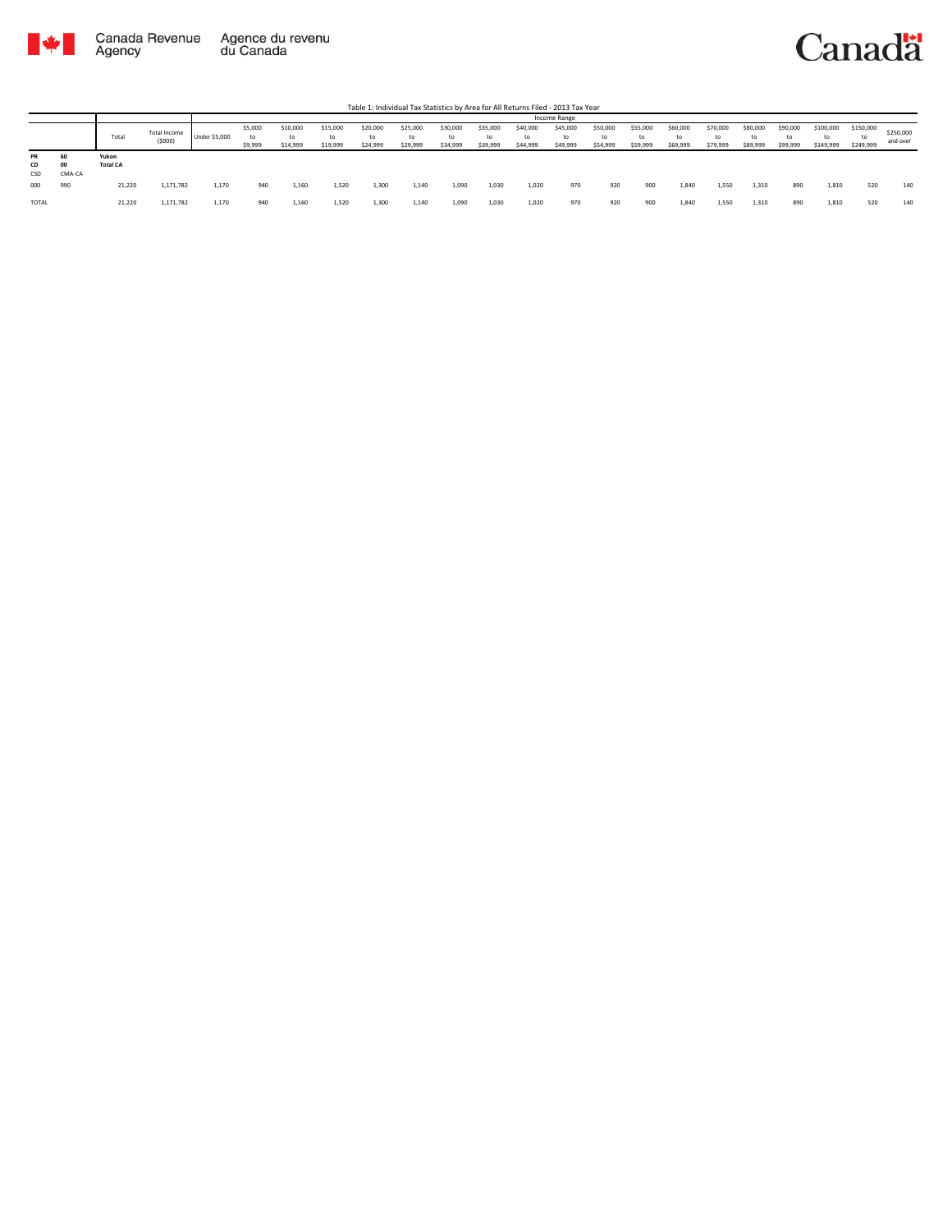

## Canadä

Table 1: Individual Tax Statistics by Area for All Returns Filed - 2013 Tax Year

|                 |                    |                          |                        |               |                    |                            |                      |                            |                            |                      |                            |                            | Income Range               |                            |                            |                            |                            |                            |                            |                              |                        |                       |
|-----------------|--------------------|--------------------------|------------------------|---------------|--------------------|----------------------------|----------------------|----------------------------|----------------------------|----------------------|----------------------------|----------------------------|----------------------------|----------------------------|----------------------------|----------------------------|----------------------------|----------------------------|----------------------------|------------------------------|------------------------|-----------------------|
|                 |                    | Total                    | Total Income<br>(5000) | Under \$5,000 | \$5,000<br>\$9,999 | \$10,000<br>to<br>\$14,999 | \$15,000<br>\$19,999 | \$20,000<br>to<br>\$24,999 | \$25,000<br>to<br>\$29,999 | \$30,000<br>\$34,999 | \$35,000<br>to<br>\$39,999 | \$40,000<br>to<br>\$44,999 | \$45,000<br>to<br>\$49,999 | \$50,000<br>to<br>\$54,999 | \$55,000<br>to<br>\$59,999 | \$60,000<br>to<br>\$69,999 | \$70,000<br>to<br>\$79,999 | \$80,000<br>to<br>\$89,999 | \$90,000<br>to<br>\$99,999 | \$100,000<br>to<br>\$149,999 | \$150,000<br>\$249,999 | \$250,000<br>and over |
| PR<br>CD<br>CSD | 60<br>00<br>CMA-CA | Yukon<br><b>Total CA</b> |                        |               |                    |                            |                      |                            |                            |                      |                            |                            |                            |                            |                            |                            |                            |                            |                            |                              |                        |                       |
| 000             | 990                | 21,220                   | 1,171,782              | 1,170         | 940                | 1,160                      | 1,520                | 1.300                      | 1.140                      | 1,090                | 1,030                      | 1,020                      | 970                        | 920                        | 900                        | 1.840                      | 1,550                      | 1.310                      | 890                        | 1.810                        | 520                    | 140                   |
| TOTAL           |                    | 21,220                   | 1,171,782              | 1,170         | 940                | 1,160                      | 1,520                | 1,300                      | 1,140                      | 1,090                | 1,030                      | 1,020                      | 970                        | 920                        | 900                        | 1,840                      | 1,550                      | 1,310                      | 890                        | 1,810                        | 520                    | 140                   |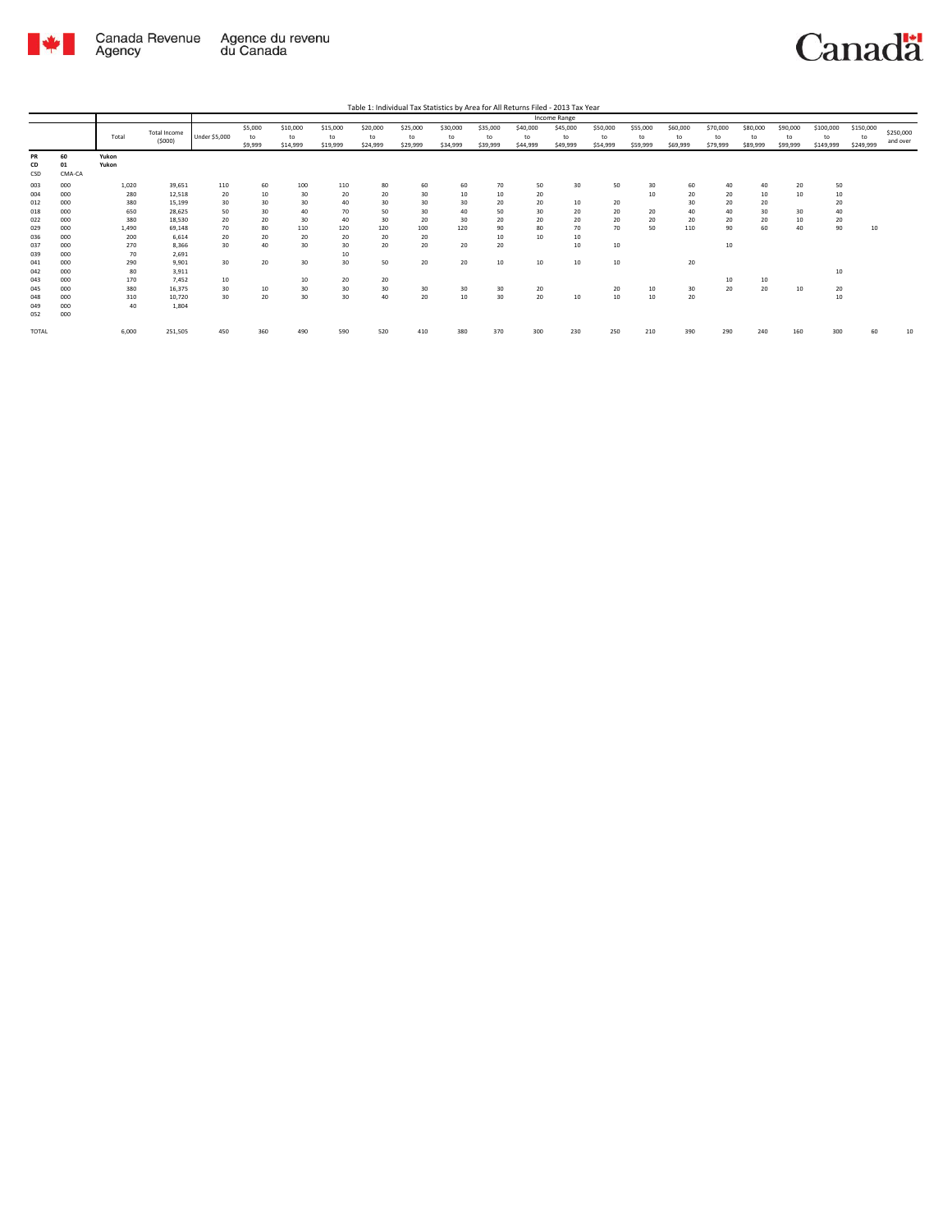

Canadä

| Table 1: Individual Tax Statistics by Area for All Returns Filed - 2013 Tax Year |                                                             |                                                                |                                                                                     |                                               |                                              |                                                |                                                          |                                               |                                               |                                         |                                              |                                        |                                        |                                  |                            |                                   |                                        |                                  |                            |                                  |                              |                       |
|----------------------------------------------------------------------------------|-------------------------------------------------------------|----------------------------------------------------------------|-------------------------------------------------------------------------------------|-----------------------------------------------|----------------------------------------------|------------------------------------------------|----------------------------------------------------------|-----------------------------------------------|-----------------------------------------------|-----------------------------------------|----------------------------------------------|----------------------------------------|----------------------------------------|----------------------------------|----------------------------|-----------------------------------|----------------------------------------|----------------------------------|----------------------------|----------------------------------|------------------------------|-----------------------|
|                                                                                  |                                                             |                                                                |                                                                                     |                                               |                                              |                                                |                                                          |                                               |                                               |                                         |                                              |                                        | Income Range                           |                                  |                            |                                   |                                        |                                  |                            |                                  |                              |                       |
|                                                                                  |                                                             | Total                                                          | <b>Total Income</b><br>(5000)                                                       | Under \$5,000                                 | \$5,000<br>to<br>\$9,999                     | \$10,000<br>to<br>\$14,999                     | \$15,000<br>to<br>\$19,999                               | \$20,000<br>to<br>\$24,999                    | \$25,000<br>to<br>\$29,999                    | \$30,000<br>to<br>\$34,999              | \$35,000<br>to<br>\$39,999                   | \$40,000<br>to<br>\$44,999             | \$45,000<br>to<br>\$49,999             | \$50,000<br>to<br>\$54,999       | \$55,000<br>to<br>\$59,999 | \$60,000<br>to<br>\$69,999        | \$70,000<br>to<br>\$79,999             | \$80,000<br>to<br>\$89,999       | \$90,000<br>to<br>\$99,999 | \$100,000<br>to<br>\$149,999     | \$150,000<br>to<br>\$249,999 | \$250,000<br>and over |
| PR<br>CD<br>CSD                                                                  | 60<br>01<br>CMA-CA                                          | Yukon<br>Yukon                                                 |                                                                                     |                                               |                                              |                                                |                                                          |                                               |                                               |                                         |                                              |                                        |                                        |                                  |                            |                                   |                                        |                                  |                            |                                  |                              |                       |
| 003<br>004<br>012<br>018<br>022<br>029<br>036<br>037<br>039                      | 000<br>000<br>000<br>000<br>000<br>000<br>000<br>000<br>000 | 1,020<br>280<br>380<br>650<br>380<br>1,490<br>200<br>270<br>70 | 39,651<br>12.518<br>15.199<br>28.625<br>18.530<br>69.148<br>6.614<br>8.366<br>2,691 | 110<br>20<br>30<br>50<br>20<br>70<br>20<br>30 | 60<br>10<br>30<br>30<br>20<br>80<br>20<br>40 | 100<br>30<br>30<br>40<br>30<br>110<br>20<br>30 | 110<br>20<br>40<br>70<br>40<br>120<br>20<br>30<br>$10\,$ | 80<br>20<br>30<br>50<br>30<br>120<br>20<br>20 | 60<br>30<br>30<br>30<br>20<br>100<br>20<br>20 | 60<br>10<br>30<br>40<br>30<br>120<br>20 | 70<br>10<br>20<br>50<br>20<br>90<br>10<br>20 | 50<br>20<br>20<br>30<br>20<br>80<br>10 | 30<br>10<br>20<br>20<br>70<br>10<br>10 | 50<br>20<br>20<br>20<br>70<br>10 | 30<br>10<br>20<br>20<br>50 | 60<br>20<br>30<br>40<br>20<br>110 | 40<br>20<br>20<br>40<br>20<br>90<br>10 | 40<br>10<br>20<br>30<br>20<br>60 | 20<br>10<br>30<br>10<br>40 | 50<br>10<br>20<br>40<br>20<br>90 | 10                           |                       |
| 041<br>042<br>043<br>045<br>048<br>049<br>052                                    | 000<br>000<br>000<br>000<br>000<br>000<br>000               | 290<br>80<br>170<br>380<br>310<br>40                           | 9,901<br>3,911<br>7.452<br>16.375<br>10,720<br>1.804                                | 30<br>10<br>30<br>30                          | 20<br>10<br>20                               | 30<br>10<br>30<br>30                           | 30<br>20<br>30<br>30                                     | 50<br>20<br>30<br>40                          | 20<br>30<br>20                                | 20<br>30<br>10                          | 10<br>30<br>30                               | 10<br>20<br>20                         | 10<br>10                               | 10<br>20<br>10                   | 10<br>10                   | 20<br>30<br>20                    | 10<br>20                               | 10<br>20                         | 10                         | 10<br>20<br>10                   |                              |                       |
| <b>TOTAL</b>                                                                     |                                                             | 6,000                                                          | 251,505                                                                             | 450                                           | 360                                          | 490                                            | 590                                                      | 520                                           | 410                                           | 380                                     | 370                                          | 300                                    | 230                                    | 250                              | 210                        | 390                               | 290                                    | 240                              | 160                        | 300                              | 60                           | 10                    |